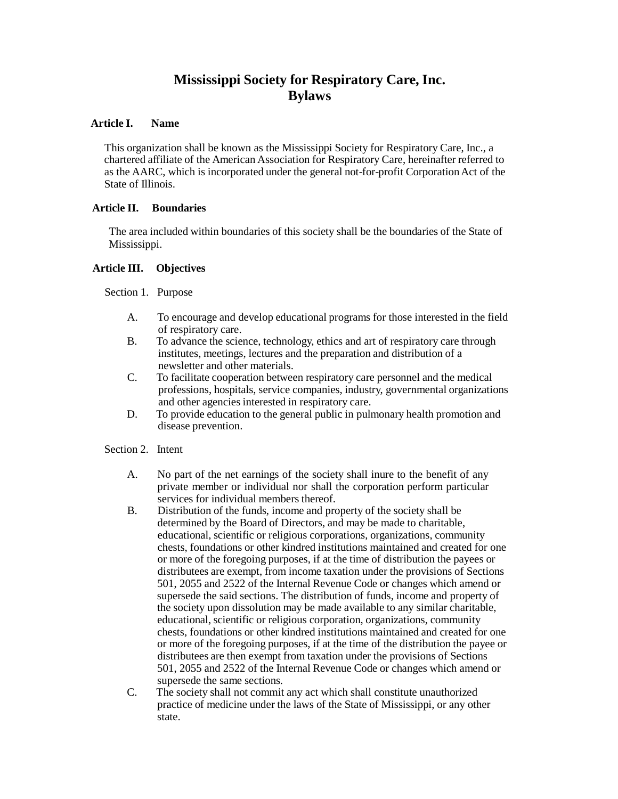# **Mississippi Society for Respiratory Care, Inc. Bylaws**

## **Article I. Name**

This organization shall be known as the Mississippi Society for Respiratory Care, Inc., a chartered affiliate of the American Association for Respiratory Care, hereinafter referred to as the AARC, which is incorporated under the general not-for-profit Corporation Act of the State of Illinois.

# **Article II. Boundaries**

The area included within boundaries of this society shall be the boundaries of the State of Mississippi.

# **Article III. Objectives**

Section 1. Purpose

- A. To encourage and develop educational programs for those interested in the field of respiratory care.
- B. To advance the science, technology, ethics and art of respiratory care through institutes, meetings, lectures and the preparation and distribution of a newsletter and other materials.
- C. To facilitate cooperation between respiratory care personnel and the medical professions, hospitals, service companies, industry, governmental organizations and other agencies interested in respiratory care.
- D. To provide education to the general public in pulmonary health promotion and disease prevention.

# Section 2. Intent

- A. No part of the net earnings of the society shall inure to the benefit of any private member or individual nor shall the corporation perform particular services for individual members thereof.
- B. Distribution of the funds, income and property of the society shall be determined by the Board of Directors, and may be made to charitable, educational, scientific or religious corporations, organizations, community chests, foundations or other kindred institutions maintained and created for one or more of the foregoing purposes, if at the time of distribution the payees or distributees are exempt, from income taxation under the provisions of Sections 501, 2055 and 2522 of the Internal Revenue Code or changes which amend or supersede the said sections. The distribution of funds, income and property of the society upon dissolution may be made available to any similar charitable, educational, scientific or religious corporation, organizations, community chests, foundations or other kindred institutions maintained and created for one or more of the foregoing purposes, if at the time of the distribution the payee or distributees are then exempt from taxation under the provisions of Sections 501, 2055 and 2522 of the Internal Revenue Code or changes which amend or supersede the same sections.
- C. The society shall not commit any act which shall constitute unauthorized practice of medicine under the laws of the State of Mississippi, or any other state.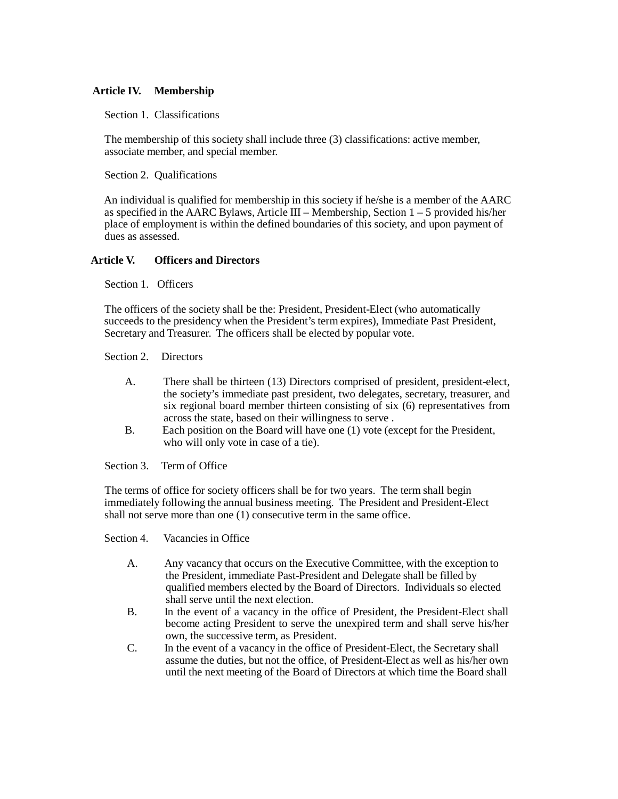# **Article IV. Membership**

Section 1. Classifications

The membership of this society shall include three (3) classifications: active member, associate member, and special member.

Section 2. Qualifications

An individual is qualified for membership in this society if he/she is a member of the AARC as specified in the AARC Bylaws, Article III – Membership, Section  $1 - 5$  provided his/her place of employment is within the defined boundaries of this society, and upon payment of dues as assessed.

# **Article V. Officers and Directors**

Section 1. Officers

The officers of the society shall be the: President, President-Elect (who automatically succeeds to the presidency when the President's term expires), Immediate Past President, Secretary and Treasurer. The officers shall be elected by popular vote.

#### Section 2. Directors

- A. There shall be thirteen (13) Directors comprised of president, president-elect, the society's immediate past president, two delegates, secretary, treasurer, and six regional board member thirteen consisting of six (6) representatives from across the state, based on their willingness to serve .
- B. Each position on the Board will have one (1) vote (except for the President, who will only vote in case of a tie).

Section 3. Term of Office

The terms of office for society officers shall be for two years. The term shall begin immediately following the annual business meeting. The President and President-Elect shall not serve more than one (1) consecutive term in the same office.

Section 4. Vacancies in Office

- A. Any vacancy that occurs on the Executive Committee, with the exception to the President, immediate Past-President and Delegate shall be filled by qualified members elected by the Board of Directors. Individuals so elected shall serve until the next election.
- B. In the event of a vacancy in the office of President, the President-Elect shall become acting President to serve the unexpired term and shall serve his/her own, the successive term, as President.
- C. In the event of a vacancy in the office of President-Elect, the Secretary shall assume the duties, but not the office, of President-Elect as well as his/her own until the next meeting of the Board of Directors at which time the Board shall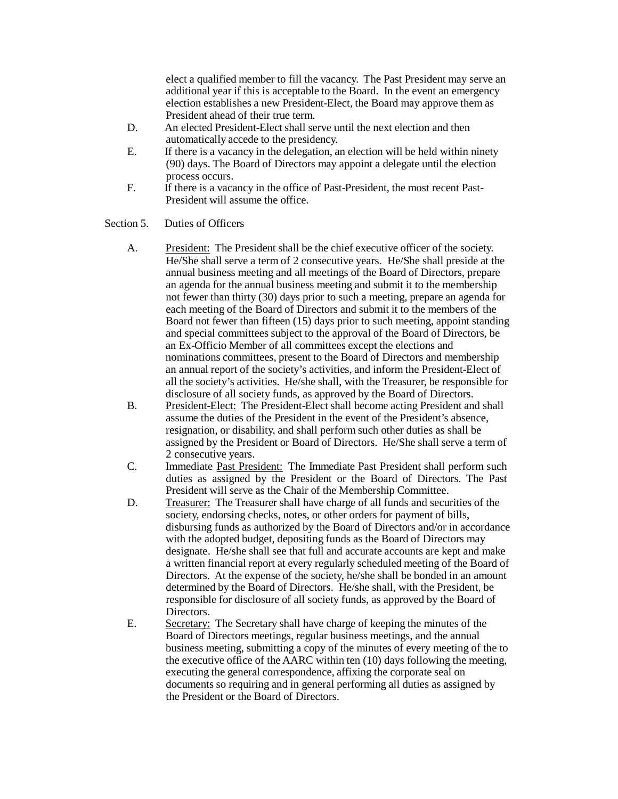elect a qualified member to fill the vacancy. The Past President may serve an additional year if this is acceptable to the Board. In the event an emergency election establishes a new President-Elect, the Board may approve them as President ahead of their true term.

- D. An elected President-Elect shall serve until the next election and then automatically accede to the presidency.
- E. If there is a vacancy in the delegation, an election will be held within ninety (90) days. The Board of Directors may appoint a delegate until the election process occurs.
- F. If there is a vacancy in the office of Past-President, the most recent Past-President will assume the office.

Section 5. Duties of Officers

- A. President: The President shall be the chief executive officer of the society. He/She shall serve a term of 2 consecutive years. He/She shall preside at the annual business meeting and all meetings of the Board of Directors, prepare an agenda for the annual business meeting and submit it to the membership not fewer than thirty (30) days prior to such a meeting, prepare an agenda for each meeting of the Board of Directors and submit it to the members of the Board not fewer than fifteen (15) days prior to such meeting, appoint standing and special committees subject to the approval of the Board of Directors, be an Ex-Officio Member of all committees except the elections and nominations committees, present to the Board of Directors and membership an annual report of the society's activities, and inform the President-Elect of all the society's activities. He/she shall, with the Treasurer, be responsible for disclosure of all society funds, as approved by the Board of Directors.
- B. President-Elect: The President-Elect shall become acting President and shall assume the duties of the President in the event of the President's absence, resignation, or disability, and shall perform such other duties as shall be assigned by the President or Board of Directors. He/She shall serve a term of 2 consecutive years.
- C. Immediate Past President: The Immediate Past President shall perform such duties as assigned by the President or the Board of Directors. The Past President will serve as the Chair of the Membership Committee.
- D. Treasurer: The Treasurer shall have charge of all funds and securities of the society, endorsing checks, notes, or other orders for payment of bills, disbursing funds as authorized by the Board of Directors and/or in accordance with the adopted budget, depositing funds as the Board of Directors may designate. He/she shall see that full and accurate accounts are kept and make a written financial report at every regularly scheduled meeting of the Board of Directors. At the expense of the society, he/she shall be bonded in an amount determined by the Board of Directors. He/she shall, with the President, be responsible for disclosure of all society funds, as approved by the Board of Directors.
- E. Secretary: The Secretary shall have charge of keeping the minutes of the Board of Directors meetings, regular business meetings, and the annual business meeting, submitting a copy of the minutes of every meeting of the to the executive office of the AARC within ten (10) days following the meeting, executing the general correspondence, affixing the corporate seal on documents so requiring and in general performing all duties as assigned by the President or the Board of Directors.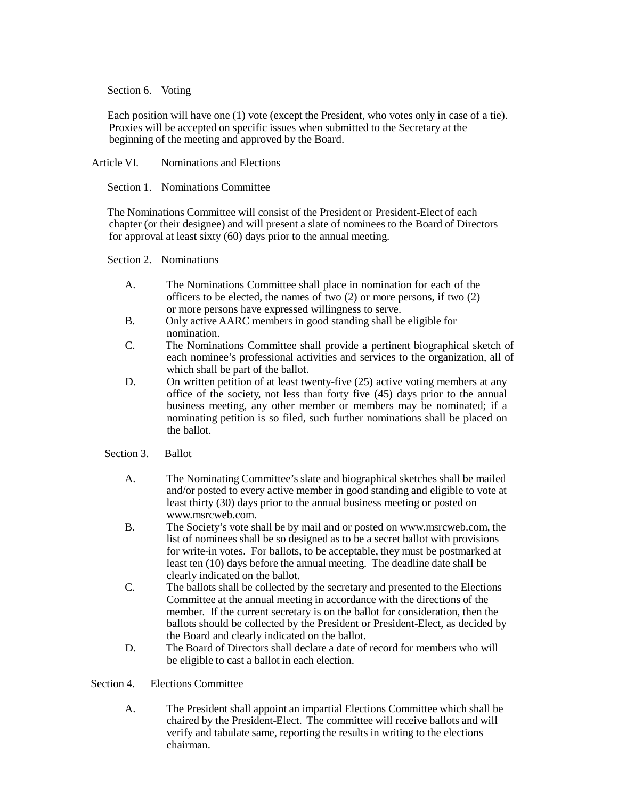## Section 6. Voting

Each position will have one (1) vote (except the President, who votes only in case of a tie). Proxies will be accepted on specific issues when submitted to the Secretary at the beginning of the meeting and approved by the Board.

Article VI. Nominations and Elections

Section 1. Nominations Committee

The Nominations Committee will consist of the President or President-Elect of each chapter (or their designee) and will present a slate of nominees to the Board of Directors for approval at least sixty (60) days prior to the annual meeting.

Section 2. Nominations

- A. The Nominations Committee shall place in nomination for each of the officers to be elected, the names of two  $(2)$  or more persons, if two  $(2)$ or more persons have expressed willingness to serve.
- B. Only active AARC members in good standing shall be eligible for nomination.
- C. The Nominations Committee shall provide a pertinent biographical sketch of each nominee's professional activities and services to the organization, all of which shall be part of the ballot.
- D. On written petition of at least twenty-five (25) active voting members at any office of the society, not less than forty five (45) days prior to the annual business meeting, any other member or members may be nominated; if a nominating petition is so filed, such further nominations shall be placed on the ballot.

# Section 3. Ballot

- A. The Nominating Committee's slate and biographical sketches shall be mailed and/or posted to every active member in good standing and eligible to vote at least thirty (30) days prior to the annual business meeting or posted on [www.msrcweb.com.](http://www.msrcweb.com/)
- B. The Society's vote shall be by mail and or posted on [www.msrcweb.com,](http://www.msrcweb.com/) the list of nominees shall be so designed as to be a secret ballot with provisions for write-in votes. For ballots, to be acceptable, they must be postmarked at least ten (10) days before the annual meeting. The deadline date shall be clearly indicated on the ballot.
- C. The ballots shall be collected by the secretary and presented to the Elections Committee at the annual meeting in accordance with the directions of the member. If the current secretary is on the ballot for consideration, then the ballots should be collected by the President or President-Elect, as decided by the Board and clearly indicated on the ballot.
- D. The Board of Directors shall declare a date of record for members who will be eligible to cast a ballot in each election.

# Section 4. Elections Committee

A. The President shall appoint an impartial Elections Committee which shall be chaired by the President-Elect. The committee will receive ballots and will verify and tabulate same, reporting the results in writing to the elections chairman.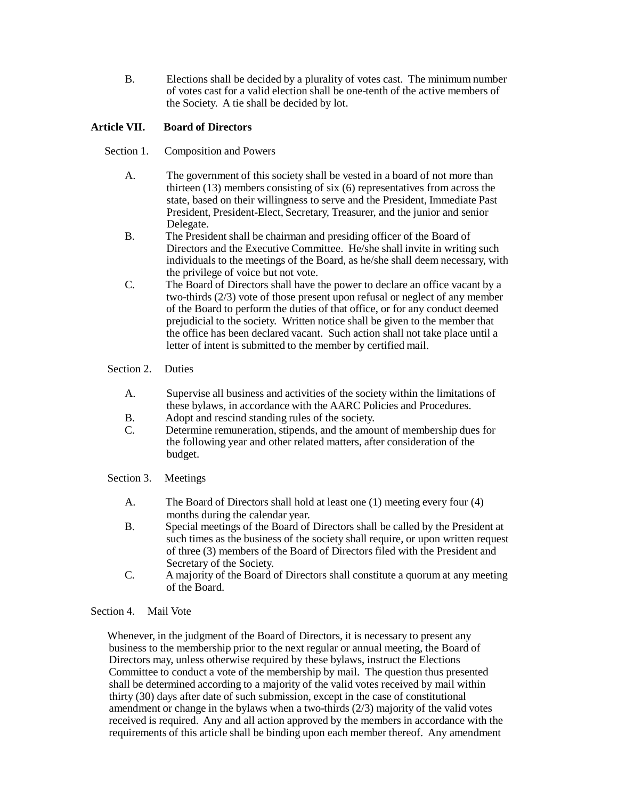B. Elections shall be decided by a plurality of votes cast. The minimum number of votes cast for a valid election shall be one-tenth of the active members of the Society. A tie shall be decided by lot.

# **Article VII. Board of Directors**

- Section 1. Composition and Powers
	- A. The government of this society shall be vested in a board of not more than thirteen (13) members consisting of six (6) representatives from across the state, based on their willingness to serve and the President, Immediate Past President, President-Elect, Secretary, Treasurer, and the junior and senior Delegate.
	- B. The President shall be chairman and presiding officer of the Board of Directors and the Executive Committee. He/she shall invite in writing such individuals to the meetings of the Board, as he/she shall deem necessary, with the privilege of voice but not vote.
	- C. The Board of Directors shall have the power to declare an office vacant by a two-thirds (2/3) vote of those present upon refusal or neglect of any member of the Board to perform the duties of that office, or for any conduct deemed prejudicial to the society. Written notice shall be given to the member that the office has been declared vacant. Such action shall not take place until a letter of intent is submitted to the member by certified mail.

# Section 2. Duties

- A. Supervise all business and activities of the society within the limitations of these bylaws, in accordance with the AARC Policies and Procedures.
- B. Adopt and rescind standing rules of the society.
- C. Determine remuneration, stipends, and the amount of membership dues for the following year and other related matters, after consideration of the budget.
- Section 3. Meetings
	- A. The Board of Directors shall hold at least one (1) meeting every four (4) months during the calendar year.
	- B. Special meetings of the Board of Directors shall be called by the President at such times as the business of the society shall require, or upon written request of three (3) members of the Board of Directors filed with the President and Secretary of the Society.
	- C. A majority of the Board of Directors shall constitute a quorum at any meeting of the Board.

# Section 4. Mail Vote

Whenever, in the judgment of the Board of Directors, it is necessary to present any business to the membership prior to the next regular or annual meeting, the Board of Directors may, unless otherwise required by these bylaws, instruct the Elections Committee to conduct a vote of the membership by mail. The question thus presented shall be determined according to a majority of the valid votes received by mail within thirty (30) days after date of such submission, except in the case of constitutional amendment or change in the bylaws when a two-thirds (2/3) majority of the valid votes received is required. Any and all action approved by the members in accordance with the requirements of this article shall be binding upon each member thereof. Any amendment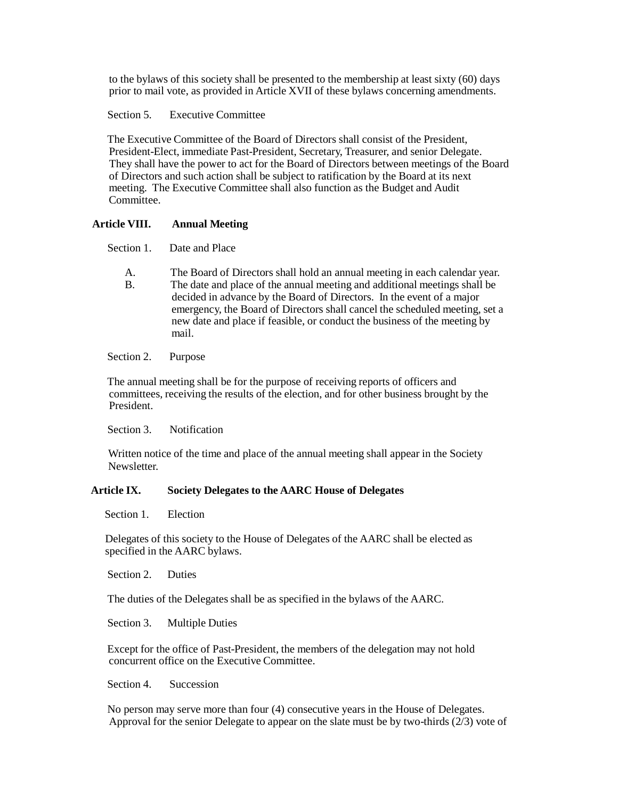to the bylaws of this society shall be presented to the membership at least sixty (60) days prior to mail vote, as provided in Article XVII of these bylaws concerning amendments.

Section 5. Executive Committee

The Executive Committee of the Board of Directors shall consist of the President, President-Elect, immediate Past-President, Secretary, Treasurer, and senior Delegate. They shall have the power to act for the Board of Directors between meetings of the Board of Directors and such action shall be subject to ratification by the Board at its next meeting. The Executive Committee shall also function as the Budget and Audit Committee.

#### **Article VIII. Annual Meeting**

Section 1. Date and Place

A. The Board of Directors shall hold an annual meeting in each calendar year. B. The date and place of the annual meeting and additional meetings shall be decided in advance by the Board of Directors. In the event of a major emergency, the Board of Directors shall cancel the scheduled meeting, set a new date and place if feasible, or conduct the business of the meeting by mail.

#### Section 2. Purpose

The annual meeting shall be for the purpose of receiving reports of officers and committees, receiving the results of the election, and for other business brought by the President.

Section 3. Notification

Written notice of the time and place of the annual meeting shall appear in the Society Newsletter.

#### **Article IX. Society Delegates to the AARC House of Delegates**

Section 1. Election

Delegates of this society to the House of Delegates of the AARC shall be elected as specified in the AARC bylaws.

Section 2. Duties

The duties of the Delegates shall be as specified in the bylaws of the AARC.

Section 3. Multiple Duties

Except for the office of Past-President, the members of the delegation may not hold concurrent office on the Executive Committee.

Section 4. Succession

No person may serve more than four (4) consecutive years in the House of Delegates. Approval for the senior Delegate to appear on the slate must be by two-thirds  $(2/3)$  vote of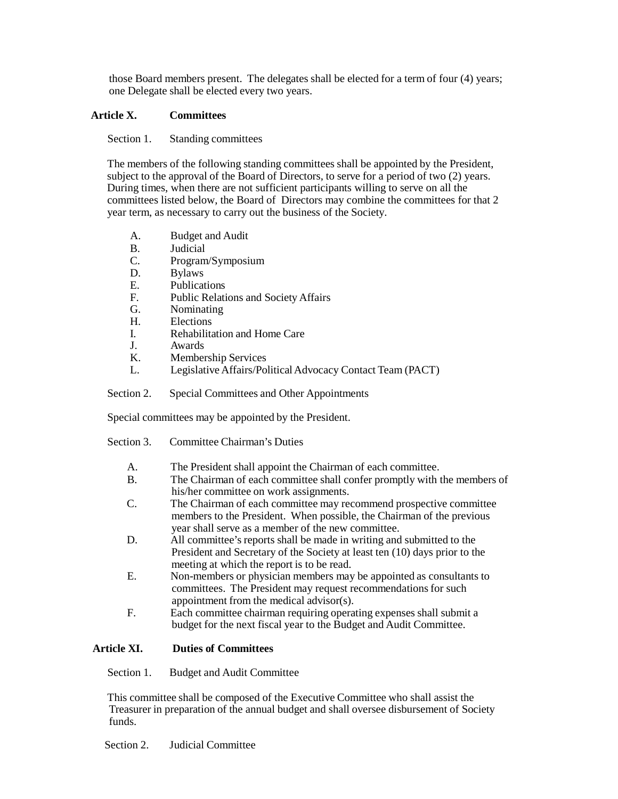those Board members present. The delegates shall be elected for a term of four (4) years; one Delegate shall be elected every two years.

## **Article X. Committees**

Section 1. Standing committees

The members of the following standing committees shall be appointed by the President, subject to the approval of the Board of Directors, to serve for a period of two (2) years. During times, when there are not sufficient participants willing to serve on all the committees listed below, the Board of Directors may combine the committees for that 2 year term, as necessary to carry out the business of the Society.

- A. Budget and Audit
- B. Judicial
- C. Program/Symposium
- D. Bylaws
- E. Publications<br>F. Public Relati
- Public Relations and Society Affairs
- G. Nominating
- H. Elections
- I. Rehabilitation and Home Care
- J. Awards
- K. Membership Services
- L. Legislative Affairs/Political Advocacy Contact Team (PACT)
- Section 2. Special Committees and Other Appointments

Special committees may be appointed by the President.

- Section 3. Committee Chairman's Duties
	- A. The President shall appoint the Chairman of each committee.
	- B. The Chairman of each committee shall confer promptly with the members of his/her committee on work assignments.
	- C. The Chairman of each committee may recommend prospective committee members to the President. When possible, the Chairman of the previous year shall serve as a member of the new committee.
	- D. All committee's reports shall be made in writing and submitted to the President and Secretary of the Society at least ten (10) days prior to the meeting at which the report is to be read.
	- E. Non-members or physician members may be appointed as consultants to committees. The President may request recommendations for such appointment from the medical advisor(s).
	- F. Each committee chairman requiring operating expenses shall submit a budget for the next fiscal year to the Budget and Audit Committee.

# **Article XI. Duties of Committees**

Section 1. Budget and Audit Committee

This committee shall be composed of the Executive Committee who shall assist the Treasurer in preparation of the annual budget and shall oversee disbursement of Society funds.

Section 2. Judicial Committee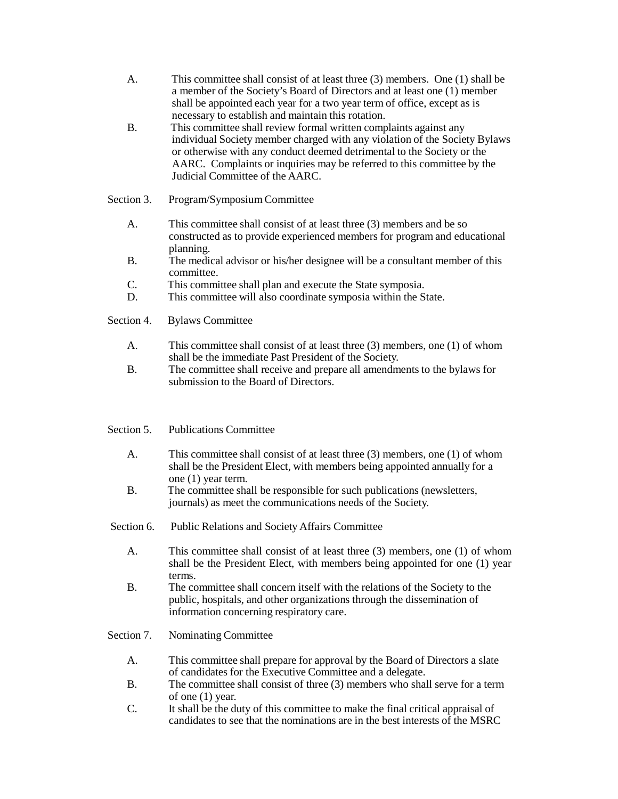- A. This committee shall consist of at least three (3) members. One (1) shall be a member of the Society's Board of Directors and at least one (1) member shall be appointed each year for a two year term of office, except as is necessary to establish and maintain this rotation.
- B. This committee shall review formal written complaints against any individual Society member charged with any violation of the Society Bylaws or otherwise with any conduct deemed detrimental to the Society or the AARC. Complaints or inquiries may be referred to this committee by the Judicial Committee of the AARC.
- Section 3. Program/Symposium Committee
	- A. This committee shall consist of at least three (3) members and be so constructed as to provide experienced members for program and educational planning.
	- B. The medical advisor or his/her designee will be a consultant member of this committee.
	- C. This committee shall plan and execute the State symposia.
	- D. This committee will also coordinate symposia within the State.

Section 4. Bylaws Committee

- A. This committee shall consist of at least three (3) members, one (1) of whom shall be the immediate Past President of the Society.
- B. The committee shall receive and prepare all amendments to the bylaws for submission to the Board of Directors.
- Section 5. Publications Committee
	- A. This committee shall consist of at least three (3) members, one (1) of whom shall be the President Elect, with members being appointed annually for a one (1) year term.
	- B. The committee shall be responsible for such publications (newsletters, journals) as meet the communications needs of the Society.
- Section 6. Public Relations and Society Affairs Committee
	- A. This committee shall consist of at least three (3) members, one (1) of whom shall be the President Elect, with members being appointed for one (1) year terms.
	- B. The committee shall concern itself with the relations of the Society to the public, hospitals, and other organizations through the dissemination of information concerning respiratory care.
- Section 7. Nominating Committee
	- A. This committee shall prepare for approval by the Board of Directors a slate of candidates for the Executive Committee and a delegate.
	- B. The committee shall consist of three (3) members who shall serve for a term of one (1) year.
	- C. It shall be the duty of this committee to make the final critical appraisal of candidates to see that the nominations are in the best interests of the MSRC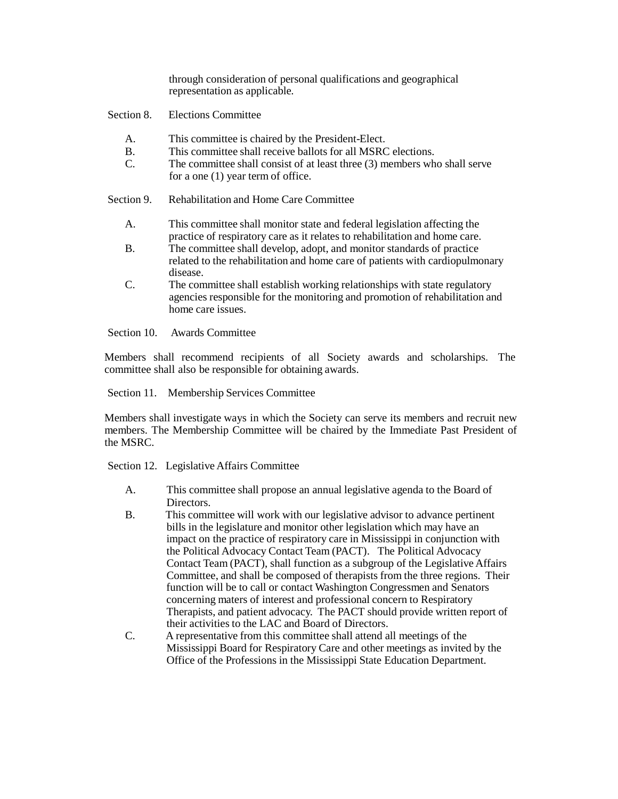through consideration of personal qualifications and geographical representation as applicable.

Section 8. Elections Committee

- A. This committee is chaired by the President-Elect.
- B. This committee shall receive ballots for all MSRC elections.
- C. The committee shall consist of at least three (3) members who shall serve for a one (1) year term of office.

Section 9. Rehabilitation and Home Care Committee

- A. This committee shall monitor state and federal legislation affecting the practice of respiratory care as it relates to rehabilitation and home care.
- B. The committee shall develop, adopt, and monitor standards of practice related to the rehabilitation and home care of patients with cardiopulmonary disease.
- C. The committee shall establish working relationships with state regulatory agencies responsible for the monitoring and promotion of rehabilitation and home care issues.

Section 10. Awards Committee

Members shall recommend recipients of all Society awards and scholarships. The committee shall also be responsible for obtaining awards.

Section 11. Membership Services Committee

Members shall investigate ways in which the Society can serve its members and recruit new members. The Membership Committee will be chaired by the Immediate Past President of the MSRC.

Section 12. Legislative Affairs Committee

- A. This committee shall propose an annual legislative agenda to the Board of Directors.
- B. This committee will work with our legislative advisor to advance pertinent bills in the legislature and monitor other legislation which may have an impact on the practice of respiratory care in Mississippi in conjunction with the Political Advocacy Contact Team (PACT). The Political Advocacy Contact Team (PACT), shall function as a subgroup of the Legislative Affairs Committee, and shall be composed of therapists from the three regions. Their function will be to call or contact Washington Congressmen and Senators concerning maters of interest and professional concern to Respiratory Therapists, and patient advocacy. The PACT should provide written report of their activities to the LAC and Board of Directors.
- C. A representative from this committee shall attend all meetings of the Mississippi Board for Respiratory Care and other meetings as invited by the Office of the Professions in the Mississippi State Education Department.